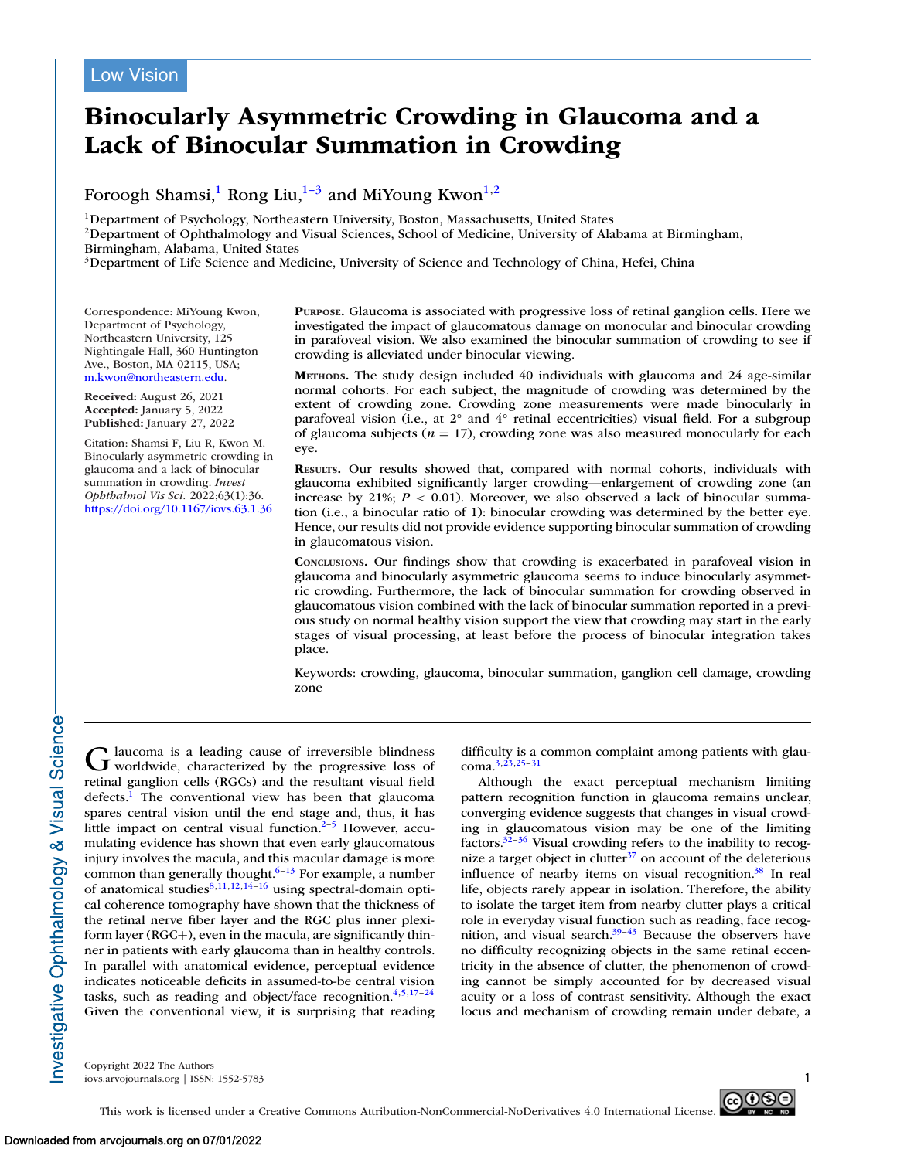# **Binocularly Asymmetric Crowding in Glaucoma and a Lack of Binocular Summation in Crowding**

### Foroogh Shamsi,<sup>1</sup> Rong Liu,<sup>1–3</sup> and MiYoung Kwon<sup>1,2</sup>

1Department of Psychology, Northeastern University, Boston, Massachusetts, United States

<sup>2</sup>Department of Ophthalmology and Visual Sciences, School of Medicine, University of Alabama at Birmingham, Birmingham, Alabama, United States

<sup>3</sup>Department of Life Science and Medicine, University of Science and Technology of China, Hefei, China

Correspondence: MiYoung Kwon, Department of Psychology, Northeastern University, 125 Nightingale Hall, 360 Huntington Ave., Boston, MA 02115, USA; [m.kwon@northeastern.edu.](mailto:m.kwon@northeastern.edu)

**Received:** August 26, 2021 **Accepted:** January 5, 2022 **Published:** January 27, 2022

Citation: Shamsi F, Liu R, Kwon M. Binocularly asymmetric crowding in glaucoma and a lack of binocular summation in crowding. *Invest Ophthalmol Vis Sci.* 2022;63(1):36. <https://doi.org/10.1167/iovs.63.1.36>

**PURPOSE.** Glaucoma is associated with progressive loss of retinal ganglion cells. Here we investigated the impact of glaucomatous damage on monocular and binocular crowding in parafoveal vision. We also examined the binocular summation of crowding to see if crowding is alleviated under binocular viewing.

**METHODS.** The study design included 40 individuals with glaucoma and 24 age-similar normal cohorts. For each subject, the magnitude of crowding was determined by the extent of crowding zone. Crowding zone measurements were made binocularly in parafoveal vision (i.e., at 2° and 4° retinal eccentricities) visual field. For a subgroup of glaucoma subjects ( $n = 17$ ), crowding zone was also measured monocularly for each eye.

**RESULTS.** Our results showed that, compared with normal cohorts, individuals with glaucoma exhibited significantly larger crowding—enlargement of crowding zone (an increase by  $21\%$ ;  $P < 0.01$ ). Moreover, we also observed a lack of binocular summation (i.e., a binocular ratio of 1): binocular crowding was determined by the better eye. Hence, our results did not provide evidence supporting binocular summation of crowding in glaucomatous vision.

**CONCLUSIONS.** Our findings show that crowding is exacerbated in parafoveal vision in glaucoma and binocularly asymmetric glaucoma seems to induce binocularly asymmetric crowding. Furthermore, the lack of binocular summation for crowding observed in glaucomatous vision combined with the lack of binocular summation reported in a previous study on normal healthy vision support the view that crowding may start in the early stages of visual processing, at least before the process of binocular integration takes place.

Keywords: crowding, glaucoma, binocular summation, ganglion cell damage, crowding zone

Glaucoma is a leading cause of irreversible blindness<br>worldwide, characterized by the progressive loss of retinal ganglion cells (RGCs) and the resultant visual field defects.<sup>1</sup> The conventional view has been that glaucoma spares central vision until the end stage and, thus, it has little impact on central visual function. $2-5$  However, accumulating evidence has shown that even early glaucomatous injury involves the macula, and this macular damage is more common than generally thought. $6-13$  For example, a number of anatomical studies $8,11,12,14-16$  using spectral-domain optical coherence tomography have shown that the thickness of the retinal nerve fiber layer and the RGC plus inner plexiform layer (RGC+), even in the macula, are significantly thinner in patients with early glaucoma than in healthy controls. In parallel with anatomical evidence, perceptual evidence indicates noticeable deficits in assumed-to-be central vision tasks, such as reading and object/face recognition.<sup>4,5,17-24</sup> Given the conventional view, it is surprising that reading

difficulty is a common complaint among patients with glaucoma[.3,23,25–](#page-7-0)[31](#page-8-0)

Although the exact perceptual mechanism limiting pattern recognition function in glaucoma remains unclear, converging evidence suggests that changes in visual crowding in glaucomatous vision may be one of the limiting factors. $32-36$  Visual crowding refers to the inability to recognize a target object in clutter $37$  on account of the deleterious influence of nearby items on visual recognition. $38$  In real life, objects rarely appear in isolation. Therefore, the ability to isolate the target item from nearby clutter plays a critical role in everyday visual function such as reading, face recognition, and visual search. $39-43$  Because the observers have no difficulty recognizing objects in the same retinal eccentricity in the absence of clutter, the phenomenon of crowding cannot be simply accounted for by decreased visual acuity or a loss of contrast sensitivity. Although the exact locus and mechanism of crowding remain under debate, a

Copyright 2022 The Authors iovs.arvojournals.org | ISSN: 1552-5783 1

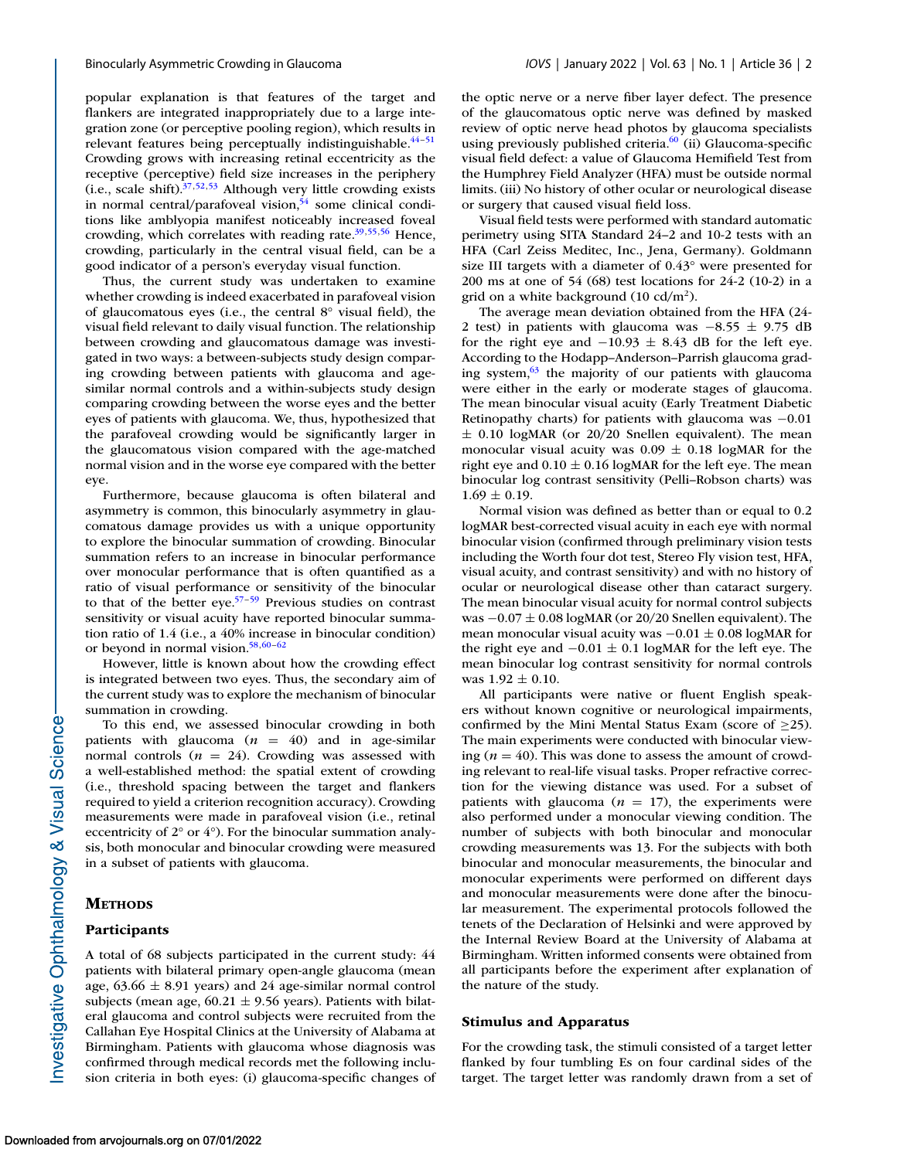popular explanation is that features of the target and flankers are integrated inappropriately due to a large integration zone (or perceptive pooling region), which results in relevant features being perceptually indistinguishable.<sup>44-51</sup> Crowding grows with increasing retinal eccentricity as the receptive (perceptive) field size increases in the periphery (i.e., scale shift). $37,52,53$  Although very little crowding exists in normal central/parafoveal vision, $54$  some clinical conditions like amblyopia manifest noticeably increased foveal crowding, which correlates with reading rate[.39,55,56](#page-8-0) Hence, crowding, particularly in the central visual field, can be a good indicator of a person's everyday visual function.

Thus, the current study was undertaken to examine whether crowding is indeed exacerbated in parafoveal vision of glaucomatous eyes (i.e., the central 8° visual field), the visual field relevant to daily visual function. The relationship between crowding and glaucomatous damage was investigated in two ways: a between-subjects study design comparing crowding between patients with glaucoma and agesimilar normal controls and a within-subjects study design comparing crowding between the worse eyes and the better eyes of patients with glaucoma. We, thus, hypothesized that the parafoveal crowding would be significantly larger in the glaucomatous vision compared with the age-matched normal vision and in the worse eye compared with the better eye.

Furthermore, because glaucoma is often bilateral and asymmetry is common, this binocularly asymmetry in glaucomatous damage provides us with a unique opportunity to explore the binocular summation of crowding. Binocular summation refers to an increase in binocular performance over monocular performance that is often quantified as a ratio of visual performance or sensitivity of the binocular to that of the better eye. $57-59$  Previous studies on contrast sensitivity or visual acuity have reported binocular summation ratio of 1.4 (i.e., a 40% increase in binocular condition) or beyond in normal vision.<sup>58,60-62</sup>

However, little is known about how the crowding effect is integrated between two eyes. Thus, the secondary aim of the current study was to explore the mechanism of binocular summation in crowding.

To this end, we assessed binocular crowding in both patients with glaucoma  $(n = 40)$  and in age-similar normal controls (*n* = 24). Crowding was assessed with a well-established method: the spatial extent of crowding (i.e., threshold spacing between the target and flankers required to yield a criterion recognition accuracy). Crowding measurements were made in parafoveal vision (i.e., retinal eccentricity of 2° or 4°). For the binocular summation analysis, both monocular and binocular crowding were measured in a subset of patients with glaucoma.

#### **METHODS**

#### **Participants**

A total of 68 subjects participated in the current study: 44 patients with bilateral primary open-angle glaucoma (mean age,  $63.66 \pm 8.91$  years) and 24 age-similar normal control subjects (mean age,  $60.21 \pm 9.56$  years). Patients with bilateral glaucoma and control subjects were recruited from the Callahan Eye Hospital Clinics at the University of Alabama at Birmingham. Patients with glaucoma whose diagnosis was confirmed through medical records met the following inclusion criteria in both eyes: (i) glaucoma-specific changes of the optic nerve or a nerve fiber layer defect. The presence of the glaucomatous optic nerve was defined by masked review of optic nerve head photos by glaucoma specialists using previously published criteria. $^{60}$  (ii) Glaucoma-specific visual field defect: a value of Glaucoma Hemifield Test from the Humphrey Field Analyzer (HFA) must be outside normal limits. (iii) No history of other ocular or neurological disease or surgery that caused visual field loss.

Visual field tests were performed with standard automatic perimetry using SITA Standard 24–2 and 10-2 tests with an HFA (Carl Zeiss Meditec, Inc., Jena, Germany). Goldmann size III targets with a diameter of 0.43° were presented for 200 ms at one of 54 (68) test locations for 24-2 (10-2) in a grid on a white background  $(10 \text{ cd/m}^2)$ .

The average mean deviation obtained from the HFA (24- 2 test) in patients with glaucoma was −8.55 ± 9.75 dB for the right eye and  $-10.93 \pm 8.43$  dB for the left eye. According to the Hodapp–Anderson–Parrish glaucoma grading system,<sup>63</sup> the majority of our patients with glaucoma were either in the early or moderate stages of glaucoma. The mean binocular visual acuity (Early Treatment Diabetic Retinopathy charts) for patients with glaucoma was −0.01  $\pm$  0.10 logMAR (or 20/20 Snellen equivalent). The mean monocular visual acuity was  $0.09 \pm 0.18$  logMAR for the right eye and  $0.10 \pm 0.16$  logMAR for the left eye. The mean binocular log contrast sensitivity (Pelli–Robson charts) was  $1.69 \pm 0.19$ .

Normal vision was defined as better than or equal to 0.2 logMAR best-corrected visual acuity in each eye with normal binocular vision (confirmed through preliminary vision tests including the Worth four dot test, Stereo Fly vision test, HFA, visual acuity, and contrast sensitivity) and with no history of ocular or neurological disease other than cataract surgery. The mean binocular visual acuity for normal control subjects was  $-0.07 \pm 0.08$  logMAR (or 20/20 Snellen equivalent). The mean monocular visual acuity was  $-0.01 \pm 0.08$  logMAR for the right eye and  $-0.01 \pm 0.1$  logMAR for the left eye. The mean binocular log contrast sensitivity for normal controls was  $1.92 \pm 0.10$ .

All participants were native or fluent English speakers without known cognitive or neurological impairments, confirmed by the Mini Mental Status Exam (score of  $\geq$ 25). The main experiments were conducted with binocular viewing  $(n = 40)$ . This was done to assess the amount of crowding relevant to real-life visual tasks. Proper refractive correction for the viewing distance was used. For a subset of patients with glaucoma  $(n = 17)$ , the experiments were also performed under a monocular viewing condition. The number of subjects with both binocular and monocular crowding measurements was 13. For the subjects with both binocular and monocular measurements, the binocular and monocular experiments were performed on different days and monocular measurements were done after the binocular measurement. The experimental protocols followed the tenets of the Declaration of Helsinki and were approved by the Internal Review Board at the University of Alabama at Birmingham. Written informed consents were obtained from all participants before the experiment after explanation of the nature of the study.

#### **Stimulus and Apparatus**

For the crowding task, the stimuli consisted of a target letter flanked by four tumbling Es on four cardinal sides of the target. The target letter was randomly drawn from a set of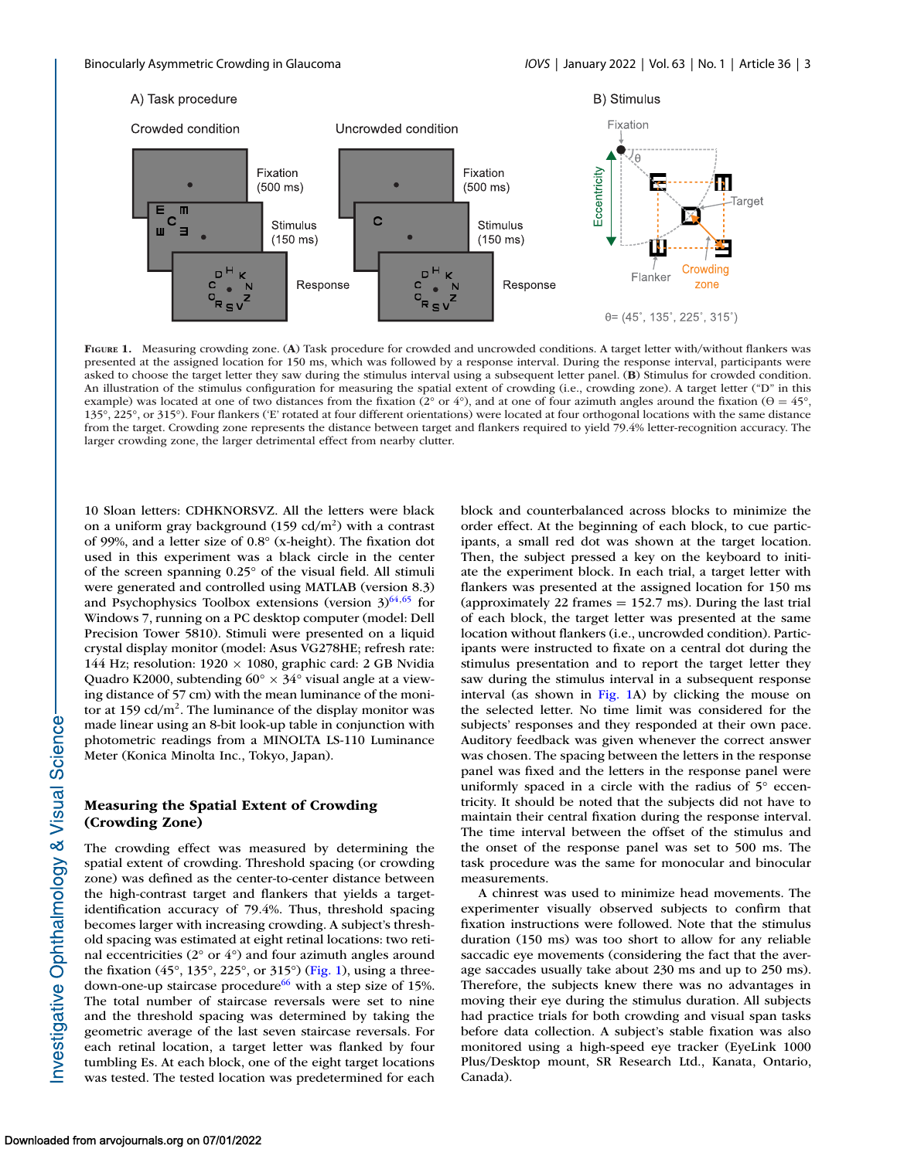<span id="page-2-0"></span>

**FIGURE 1.** Measuring crowding zone. (**A**) Task procedure for crowded and uncrowded conditions. A target letter with/without flankers was presented at the assigned location for 150 ms, which was followed by a response interval. During the response interval, participants were asked to choose the target letter they saw during the stimulus interval using a subsequent letter panel. (**B**) Stimulus for crowded condition. An illustration of the stimulus configuration for measuring the spatial extent of crowding (i.e., crowding zone). A target letter ("D" in this example) was located at one of two distances from the fixation ( $2^{\circ}$  or  $4^{\circ}$ ), and at one of four azimuth angles around the fixation ( $\theta = 45^{\circ}$ , 135°, 225°, or 315°). Four flankers ('E' rotated at four different orientations) were located at four orthogonal locations with the same distance from the target. Crowding zone represents the distance between target and flankers required to yield 79.4% letter-recognition accuracy. The larger crowding zone, the larger detrimental effect from nearby clutter.

10 Sloan letters: CDHKNORSVZ. All the letters were black on a uniform gray background  $(159 \text{ cd/m}^2)$  with a contrast of 99%, and a letter size of 0.8° (x-height). The fixation dot used in this experiment was a black circle in the center of the screen spanning 0.25° of the visual field. All stimuli were generated and controlled using MATLAB (version 8.3) and Psychophysics Toolbox extensions (version  $3^{64,65}$  $3^{64,65}$  $3^{64,65}$  for Windows 7, running on a PC desktop computer (model: Dell Precision Tower 5810). Stimuli were presented on a liquid crystal display monitor (model: Asus VG278HE; refresh rate: 144 Hz; resolution:  $1920 \times 1080$ , graphic card: 2 GB Nvidia Quadro K2000, subtending  $60^{\circ} \times 34^{\circ}$  visual angle at a viewing distance of 57 cm) with the mean luminance of the monitor at 159  $\text{cd/m}^2$ . The luminance of the display monitor was made linear using an 8-bit look-up table in conjunction with photometric readings from a MINOLTA LS-110 Luminance Meter (Konica Minolta Inc., Tokyo, Japan).

#### **Measuring the Spatial Extent of Crowding (Crowding Zone)**

The crowding effect was measured by determining the spatial extent of crowding. Threshold spacing (or crowding zone) was defined as the center-to-center distance between the high-contrast target and flankers that yields a targetidentification accuracy of 79.4%. Thus, threshold spacing becomes larger with increasing crowding. A subject's threshold spacing was estimated at eight retinal locations: two retinal eccentricities ( $2^{\circ}$  or  $4^{\circ}$ ) and four azimuth angles around the fixation (45°, 135°, 225°, or 315°) (Fig. 1), using a threedown-one-up staircase procedure $^{66}$  with a step size of 15%. The total number of staircase reversals were set to nine and the threshold spacing was determined by taking the geometric average of the last seven staircase reversals. For each retinal location, a target letter was flanked by four tumbling Es. At each block, one of the eight target locations was tested. The tested location was predetermined for each

block and counterbalanced across blocks to minimize the order effect. At the beginning of each block, to cue participants, a small red dot was shown at the target location. Then, the subject pressed a key on the keyboard to initiate the experiment block. In each trial, a target letter with flankers was presented at the assigned location for 150 ms (approximately 22 frames  $= 152.7$  ms). During the last trial of each block, the target letter was presented at the same location without flankers (i.e., uncrowded condition). Participants were instructed to fixate on a central dot during the stimulus presentation and to report the target letter they saw during the stimulus interval in a subsequent response interval (as shown in Fig. 1A) by clicking the mouse on the selected letter. No time limit was considered for the subjects' responses and they responded at their own pace. Auditory feedback was given whenever the correct answer was chosen. The spacing between the letters in the response panel was fixed and the letters in the response panel were uniformly spaced in a circle with the radius of 5° eccentricity. It should be noted that the subjects did not have to maintain their central fixation during the response interval. The time interval between the offset of the stimulus and the onset of the response panel was set to 500 ms. The task procedure was the same for monocular and binocular measurements.

A chinrest was used to minimize head movements. The experimenter visually observed subjects to confirm that fixation instructions were followed. Note that the stimulus duration (150 ms) was too short to allow for any reliable saccadic eye movements (considering the fact that the average saccades usually take about 230 ms and up to 250 ms). Therefore, the subjects knew there was no advantages in moving their eye during the stimulus duration. All subjects had practice trials for both crowding and visual span tasks before data collection. A subject's stable fixation was also monitored using a high-speed eye tracker (EyeLink 1000 Plus/Desktop mount, SR Research Ltd., Kanata, Ontario, Canada).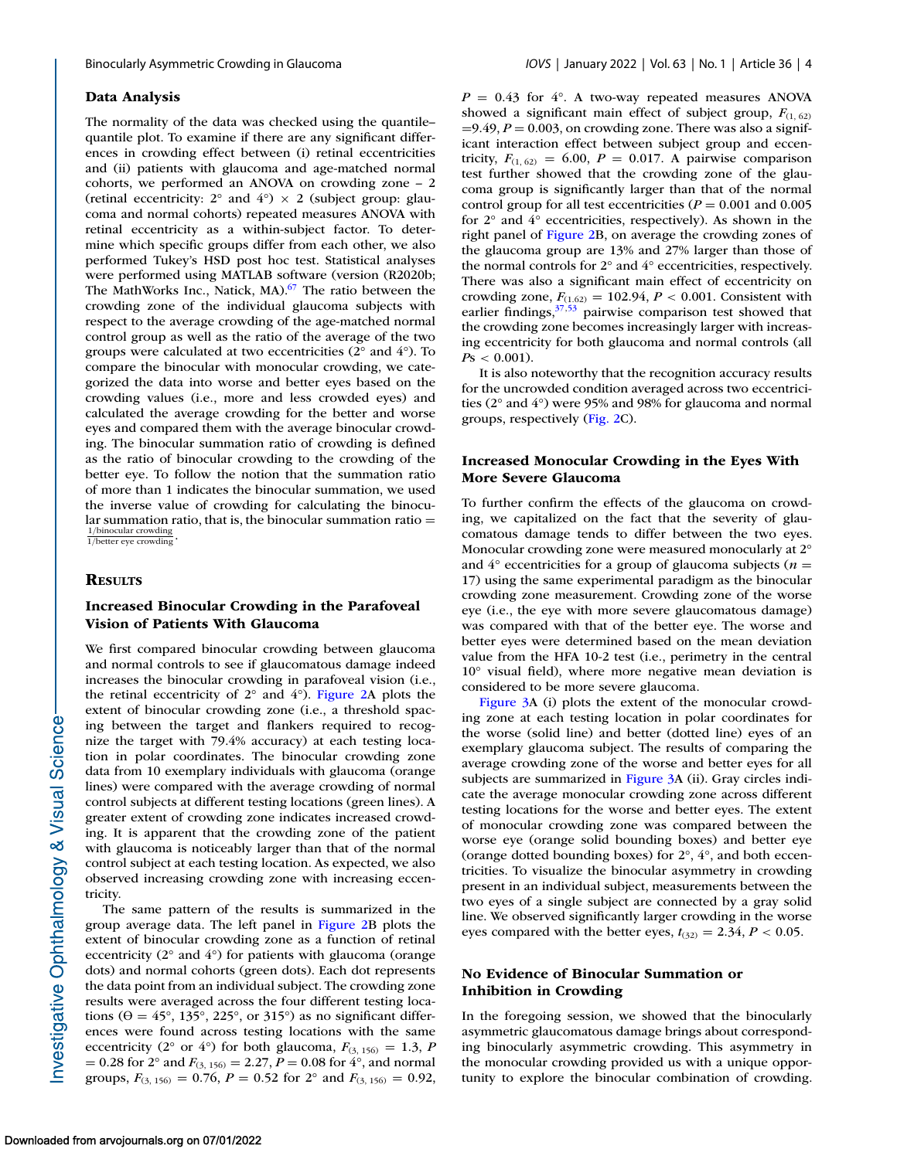#### **Data Analysis**

The normality of the data was checked using the quantile– quantile plot. To examine if there are any significant differences in crowding effect between (i) retinal eccentricities and (ii) patients with glaucoma and age-matched normal cohorts, we performed an ANOVA on crowding zone – 2 (retinal eccentricity:  $2^{\circ}$  and  $4^{\circ}$ )  $\times$  2 (subject group: glaucoma and normal cohorts) repeated measures ANOVA with retinal eccentricity as a within-subject factor. To determine which specific groups differ from each other, we also performed Tukey's HSD post hoc test. Statistical analyses were performed using MATLAB software (version (R2020b; The MathWorks Inc., Natick, MA).<sup>67</sup> The ratio between the crowding zone of the individual glaucoma subjects with respect to the average crowding of the age-matched normal control group as well as the ratio of the average of the two groups were calculated at two eccentricities (2° and 4°). To compare the binocular with monocular crowding, we categorized the data into worse and better eyes based on the crowding values (i.e., more and less crowded eyes) and calculated the average crowding for the better and worse eyes and compared them with the average binocular crowding. The binocular summation ratio of crowding is defined as the ratio of binocular crowding to the crowding of the better eye. To follow the notion that the summation ratio of more than 1 indicates the binocular summation, we used the inverse value of crowding for calculating the binocular summation ratio, that is, the binocular summation ratio  $=$  $\frac{1/binocular\,crowding}{1/better\,eye\,crowding}$ .

#### **RESULTS**

#### **Increased Binocular Crowding in the Parafoveal Vision of Patients With Glaucoma**

We first compared binocular crowding between glaucoma and normal controls to see if glaucomatous damage indeed increases the binocular crowding in parafoveal vision (i.e., the retinal eccentricity of  $2^{\circ}$  and  $4^{\circ}$ ). [Figure 2A](#page-4-0) plots the extent of binocular crowding zone (i.e., a threshold spacing between the target and flankers required to recognize the target with 79.4% accuracy) at each testing location in polar coordinates. The binocular crowding zone data from 10 exemplary individuals with glaucoma (orange lines) were compared with the average crowding of normal control subjects at different testing locations (green lines). A greater extent of crowding zone indicates increased crowding. It is apparent that the crowding zone of the patient with glaucoma is noticeably larger than that of the normal control subject at each testing location. As expected, we also observed increasing crowding zone with increasing eccentricity.

The same pattern of the results is summarized in the group average data. The left panel in [Figure 2B](#page-4-0) plots the extent of binocular crowding zone as a function of retinal eccentricity (2° and 4°) for patients with glaucoma (orange dots) and normal cohorts (green dots). Each dot represents the data point from an individual subject. The crowding zone results were averaged across the four different testing locations ( $\theta = 45^{\circ}$ , 135°, 225°, or 315°) as no significant differences were found across testing locations with the same eccentricity (2° or 4°) for both glaucoma,  $F_{(3, 156)} = 1.3$ , *P*  $= 0.28$  for 2° and  $F_{(3, 156)} = 2.27, P = 0.08$  for 4°, and normal groups,  $F_{(3, 156)} = 0.76$ ,  $P = 0.52$  for  $2^{\circ}$  and  $F_{(3, 156)} = 0.92$ ,

 $P = 0.43$  for  $4^{\circ}$ . A two-way repeated measures ANOVA showed a significant main effect of subject group,  $F_{(1, 62)}$  $=9.49, P = 0.003$ , on crowding zone. There was also a significant interaction effect between subject group and eccentricity,  $F_{(1, 62)} = 6.00$ ,  $P = 0.017$ . A pairwise comparison test further showed that the crowding zone of the glaucoma group is significantly larger than that of the normal control group for all test eccentricities ( $P = 0.001$  and 0.005 for 2° and 4° eccentricities, respectively). As shown in the right panel of [Figure 2B](#page-4-0), on average the crowding zones of the glaucoma group are 13% and 27% larger than those of the normal controls for 2° and 4° eccentricities, respectively. There was also a significant main effect of eccentricity on crowding zone,  $F_{(1.62)} = 102.94, P < 0.001$ . Consistent with earlier findings,  $37,53$  pairwise comparison test showed that the crowding zone becomes increasingly larger with increasing eccentricity for both glaucoma and normal controls (all  $Ps < 0.001$ ).

It is also noteworthy that the recognition accuracy results for the uncrowded condition averaged across two eccentricities (2° and 4°) were 95% and 98% for glaucoma and normal groups, respectively [\(Fig. 2C](#page-4-0)).

#### **Increased Monocular Crowding in the Eyes With More Severe Glaucoma**

To further confirm the effects of the glaucoma on crowding, we capitalized on the fact that the severity of glaucomatous damage tends to differ between the two eyes. Monocular crowding zone were measured monocularly at 2° and  $4^\circ$  eccentricities for a group of glaucoma subjects ( $n =$ 17) using the same experimental paradigm as the binocular crowding zone measurement. Crowding zone of the worse eye (i.e., the eye with more severe glaucomatous damage) was compared with that of the better eye. The worse and better eyes were determined based on the mean deviation value from the HFA 10-2 test (i.e., perimetry in the central 10° visual field), where more negative mean deviation is considered to be more severe glaucoma.

[Figure 3A](#page-5-0) (i) plots the extent of the monocular crowding zone at each testing location in polar coordinates for the worse (solid line) and better (dotted line) eyes of an exemplary glaucoma subject. The results of comparing the average crowding zone of the worse and better eyes for all subjects are summarized in [Figure 3A](#page-5-0) (ii). Gray circles indicate the average monocular crowding zone across different testing locations for the worse and better eyes. The extent of monocular crowding zone was compared between the worse eye (orange solid bounding boxes) and better eye (orange dotted bounding boxes) for 2°, 4°, and both eccentricities. To visualize the binocular asymmetry in crowding present in an individual subject, measurements between the two eyes of a single subject are connected by a gray solid line. We observed significantly larger crowding in the worse eyes compared with the better eyes,  $t_{(32)} = 2.34$ ,  $P < 0.05$ .

#### **No Evidence of Binocular Summation or Inhibition in Crowding**

In the foregoing session, we showed that the binocularly asymmetric glaucomatous damage brings about corresponding binocularly asymmetric crowding. This asymmetry in the monocular crowding provided us with a unique opportunity to explore the binocular combination of crowding.

nvestigative Ophthalmology & Visual Science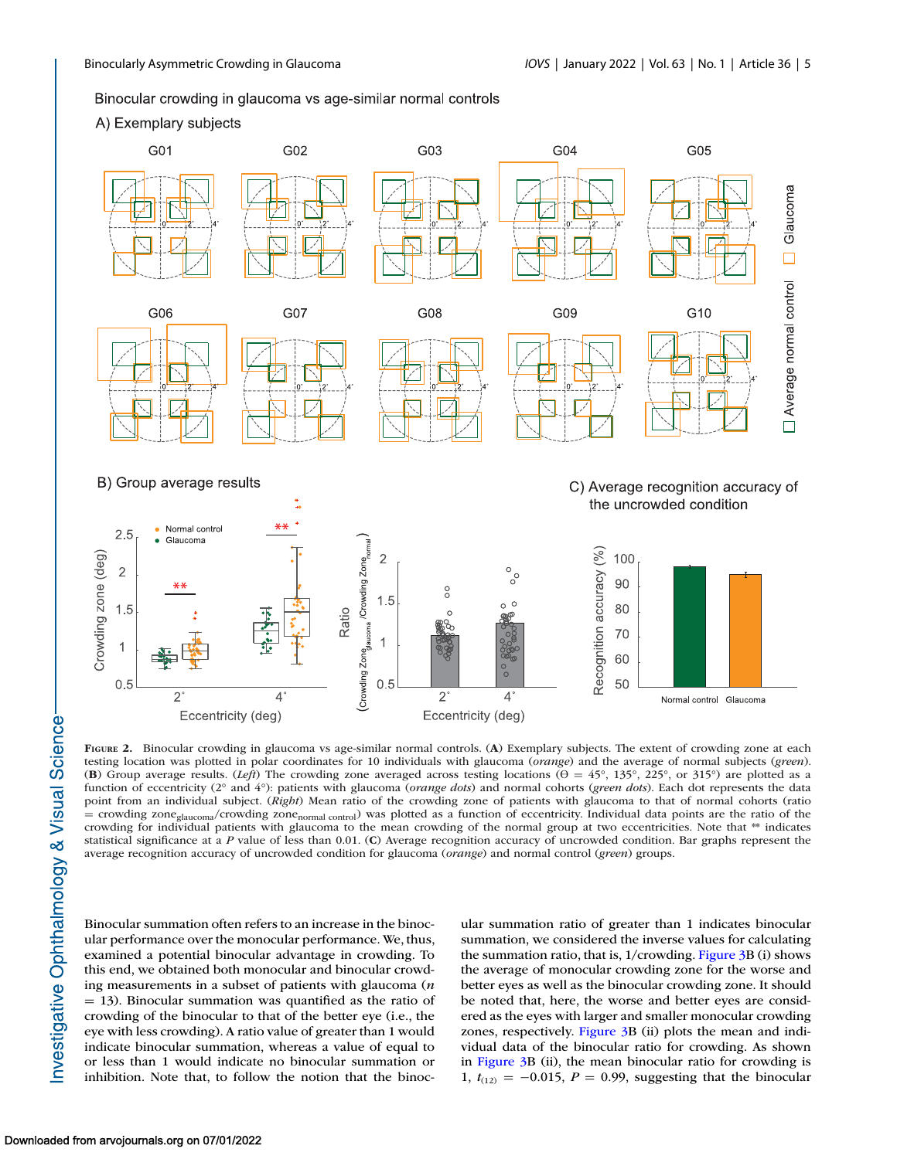#### <span id="page-4-0"></span>Binocular crowding in glaucoma vs age-similar normal controls

#### A) Exemplary subjects



**FIGURE 2.** Binocular crowding in glaucoma vs age-similar normal controls. (**A**) Exemplary subjects. The extent of crowding zone at each testing location was plotted in polar coordinates for 10 individuals with glaucoma (*orange*) and the average of normal subjects (*green*). (**B**) Group average results. (*Left*) The crowding zone averaged across testing locations ( $\theta = 45^\circ$ , 135°, 225°, or 315°) are plotted as a function of eccentricity (2° and 4°): patients with glaucoma (*orange dots*) and normal cohorts (*green dots*). Each dot represents the data point from an individual subject. (*Right*) Mean ratio of the crowding zone of patients with glaucoma to that of normal cohorts (ratio = crowding zone<sub>glaucoma</sub>/crowding zone<sub>normal control</sub>) was plotted as a function of eccentricity. Individual data points are the ratio of the crowding for individual patients with glaucoma to the mean crowding of the normal group at two eccentricities. Note that \*\* indicates statistical significance at a *P* value of less than 0.01. (**C**) Average recognition accuracy of uncrowded condition. Bar graphs represent the average recognition accuracy of uncrowded condition for glaucoma (*orange*) and normal control (*green*) groups.

Binocular summation often refers to an increase in the binocular performance over the monocular performance. We, thus, examined a potential binocular advantage in crowding. To this end, we obtained both monocular and binocular crowding measurements in a subset of patients with glaucoma (*n*  $=$  13). Binocular summation was quantified as the ratio of crowding of the binocular to that of the better eye (i.e., the eye with less crowding). A ratio value of greater than 1 would indicate binocular summation, whereas a value of equal to or less than 1 would indicate no binocular summation or inhibition. Note that, to follow the notion that the binoc-

ular summation ratio of greater than 1 indicates binocular summation, we considered the inverse values for calculating the summation ratio, that is, 1/crowding. [Figure 3B](#page-5-0) (i) shows the average of monocular crowding zone for the worse and better eyes as well as the binocular crowding zone. It should be noted that, here, the worse and better eyes are considered as the eyes with larger and smaller monocular crowding zones, respectively. [Figure 3B](#page-5-0) (ii) plots the mean and individual data of the binocular ratio for crowding. As shown in [Figure 3B](#page-5-0) (ii), the mean binocular ratio for crowding is 1,  $t_{(12)} = -0.015$ ,  $P = 0.99$ , suggesting that the binocular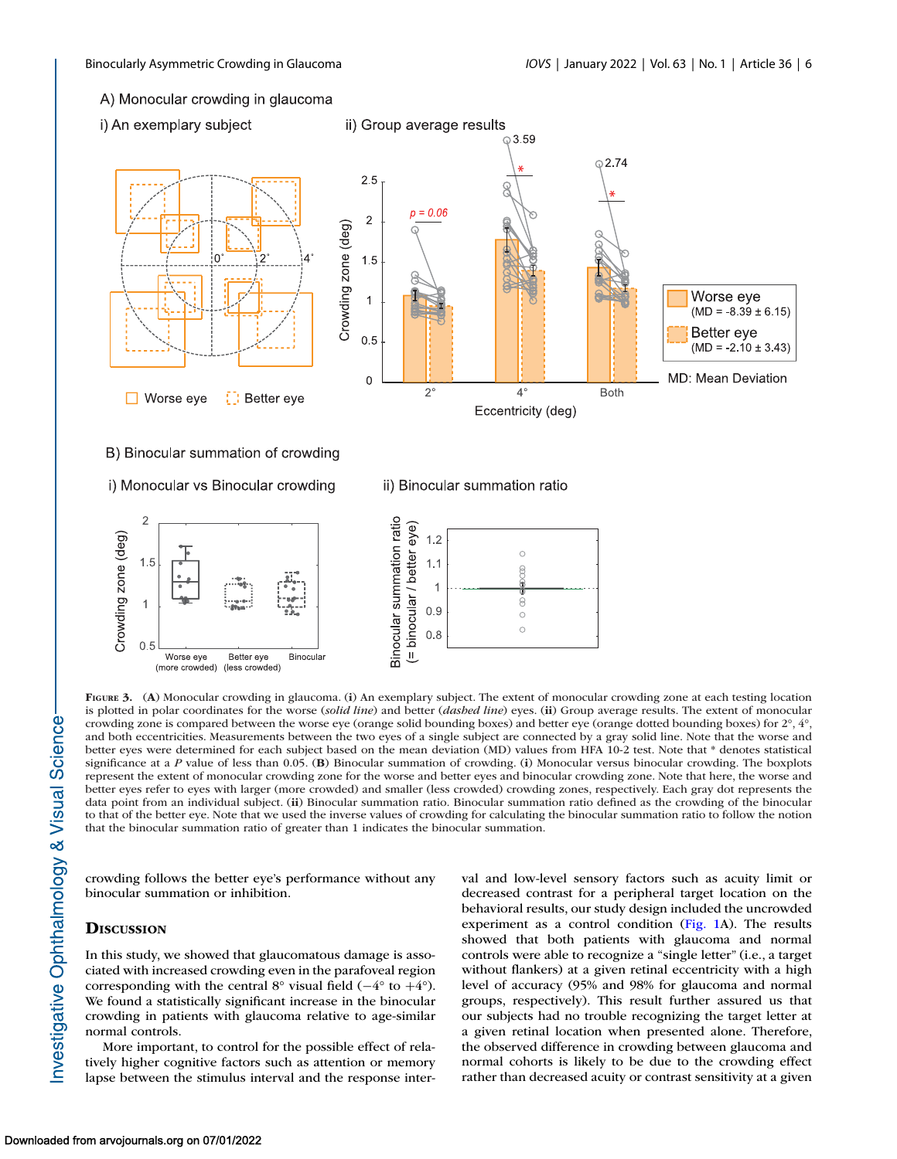#### <span id="page-5-0"></span>A) Monocular crowding in glaucoma

i) An exemplary subject



B) Binocular summation of crowding

i) Monocular vs Binocular crowding

## ii) Binocular summation ratio

 $\overline{C}$ 

g

 $\circledcirc$ 

 $\circ$  $\circ$ 



**FIGURE 3.** (**A**) Monocular crowding in glaucoma. (**i**) An exemplary subject. The extent of monocular crowding zone at each testing location is plotted in polar coordinates for the worse (*solid line*) and better (*dashed line*) eyes. (**ii**) Group average results. The extent of monocular crowding zone is compared between the worse eye (orange solid bounding boxes) and better eye (orange dotted bounding boxes) for 2°, 4°, and both eccentricities. Measurements between the two eyes of a single subject are connected by a gray solid line. Note that the worse and better eyes were determined for each subject based on the mean deviation (MD) values from HFA 10-2 test. Note that \* denotes statistical significance at a *P* value of less than 0.05. (**B**) Binocular summation of crowding. (**i**) Monocular versus binocular crowding. The boxplots represent the extent of monocular crowding zone for the worse and better eyes and binocular crowding zone. Note that here, the worse and better eyes refer to eyes with larger (more crowded) and smaller (less crowded) crowding zones, respectively. Each gray dot represents the data point from an individual subject. (**ii**) Binocular summation ratio. Binocular summation ratio defined as the crowding of the binocular to that of the better eye. Note that we used the inverse values of crowding for calculating the binocular summation ratio to follow the notion that the binocular summation ratio of greater than 1 indicates the binocular summation.

crowding follows the better eye's performance without any binocular summation or inhibition.

#### **DISCUSSION**

In this study, we showed that glaucomatous damage is associated with increased crowding even in the parafoveal region corresponding with the central  $8^\circ$  visual field (−4° to +4°). We found a statistically significant increase in the binocular crowding in patients with glaucoma relative to age-similar normal controls.

More important, to control for the possible effect of relatively higher cognitive factors such as attention or memory lapse between the stimulus interval and the response interval and low-level sensory factors such as acuity limit or decreased contrast for a peripheral target location on the behavioral results, our study design included the uncrowded experiment as a control condition [\(Fig. 1A](#page-2-0)). The results showed that both patients with glaucoma and normal controls were able to recognize a "single letter" (i.e., a target without flankers) at a given retinal eccentricity with a high level of accuracy (95% and 98% for glaucoma and normal groups, respectively). This result further assured us that our subjects had no trouble recognizing the target letter at a given retinal location when presented alone. Therefore, the observed difference in crowding between glaucoma and normal cohorts is likely to be due to the crowding effect rather than decreased acuity or contrast sensitivity at a given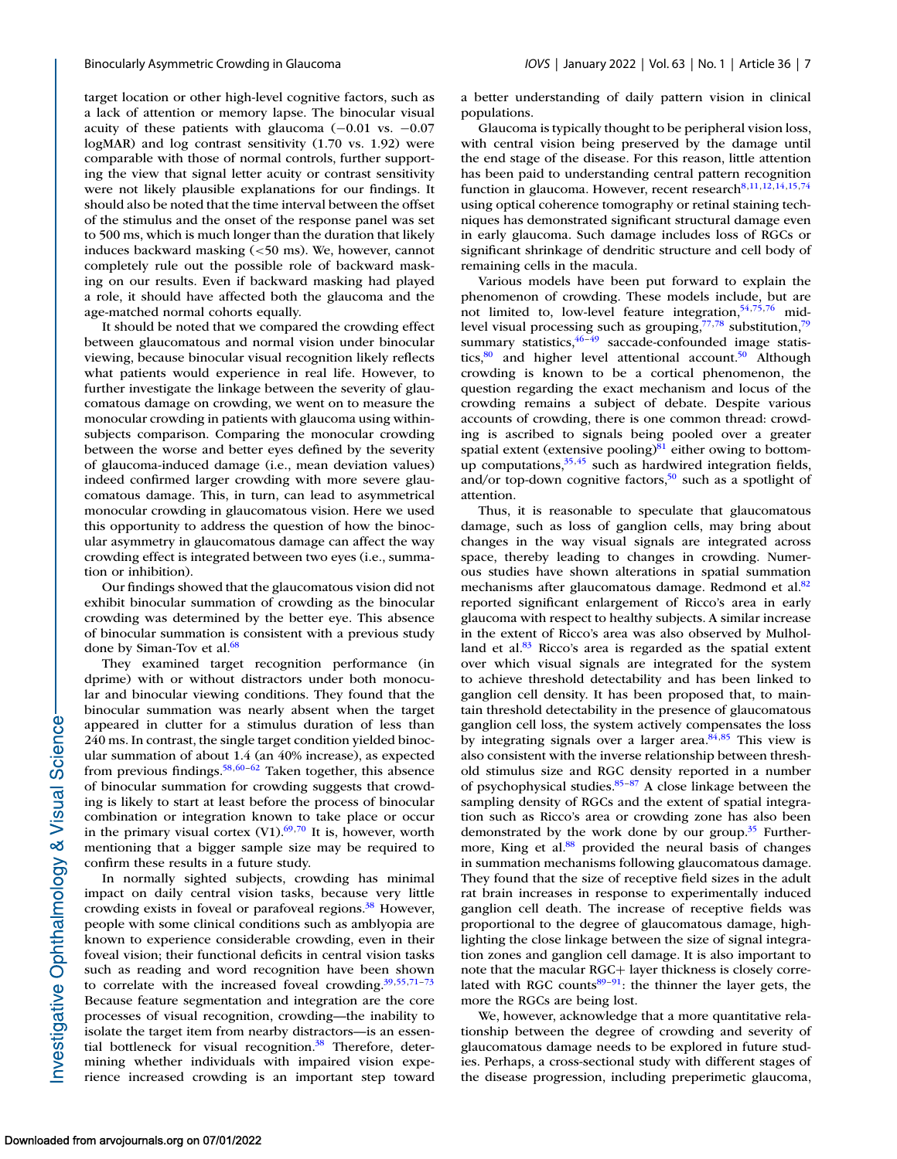target location or other high-level cognitive factors, such as a lack of attention or memory lapse. The binocular visual acuity of these patients with glaucoma (−0.01 vs. −0.07 logMAR) and log contrast sensitivity (1.70 vs. 1.92) were comparable with those of normal controls, further supporting the view that signal letter acuity or contrast sensitivity were not likely plausible explanations for our findings. It should also be noted that the time interval between the offset of the stimulus and the onset of the response panel was set to 500 ms, which is much longer than the duration that likely induces backward masking (<50 ms). We, however, cannot completely rule out the possible role of backward masking on our results. Even if backward masking had played a role, it should have affected both the glaucoma and the age-matched normal cohorts equally.

It should be noted that we compared the crowding effect between glaucomatous and normal vision under binocular viewing, because binocular visual recognition likely reflects what patients would experience in real life. However, to further investigate the linkage between the severity of glaucomatous damage on crowding, we went on to measure the monocular crowding in patients with glaucoma using withinsubjects comparison. Comparing the monocular crowding between the worse and better eyes defined by the severity of glaucoma-induced damage (i.e., mean deviation values) indeed confirmed larger crowding with more severe glaucomatous damage. This, in turn, can lead to asymmetrical monocular crowding in glaucomatous vision. Here we used this opportunity to address the question of how the binocular asymmetry in glaucomatous damage can affect the way crowding effect is integrated between two eyes (i.e., summation or inhibition).

Our findings showed that the glaucomatous vision did not exhibit binocular summation of crowding as the binocular crowding was determined by the better eye. This absence of binocular summation is consistent with a previous study done by Siman-Tov et al.<sup>68</sup>

They examined target recognition performance (in dprime) with or without distractors under both monocular and binocular viewing conditions. They found that the binocular summation was nearly absent when the target appeared in clutter for a stimulus duration of less than 240 ms. In contrast, the single target condition yielded binocular summation of about 1.4 (an 40% increase), as expected from previous findings.<sup>58,60–62</sup> Taken together, this absence of binocular summation for crowding suggests that crowding is likely to start at least before the process of binocular combination or integration known to take place or occur in the primary visual cortex  $(V1)$ .<sup>69,70</sup> It is, however, worth mentioning that a bigger sample size may be required to confirm these results in a future study.

In normally sighted subjects, crowding has minimal impact on daily central vision tasks, because very little crowding exists in foveal or parafoveal regions.<sup>38</sup> However, people with some clinical conditions such as amblyopia are known to experience considerable crowding, even in their foveal vision; their functional deficits in central vision tasks such as reading and word recognition have been shown to correlate with the increased foveal crowding. $39,55,71-73$ Because feature segmentation and integration are the core processes of visual recognition, crowding—the inability to isolate the target item from nearby distractors—is an essential bottleneck for visual recognition.<sup>38</sup> Therefore, determining whether individuals with impaired vision experience increased crowding is an important step toward a better understanding of daily pattern vision in clinical populations.

Glaucoma is typically thought to be peripheral vision loss, with central vision being preserved by the damage until the end stage of the disease. For this reason, little attention has been paid to understanding central pattern recognition function in glaucoma. However, recent research $8,11,12,14,15,74$  $8,11,12,14,15,74$ using optical coherence tomography or retinal staining techniques has demonstrated significant structural damage even in early glaucoma. Such damage includes loss of RGCs or significant shrinkage of dendritic structure and cell body of remaining cells in the macula.

Various models have been put forward to explain the phenomenon of crowding. These models include, but are not limited to, low-level feature integration, $54,75,76$  $54,75,76$  midlevel visual processing such as grouping, $77,78$  substitution, $79$ summary statistics,  $46-49$  saccade-confounded image statistics, $80$  and higher level attentional account.<sup>50</sup> Although crowding is known to be a cortical phenomenon, the question regarding the exact mechanism and locus of the crowding remains a subject of debate. Despite various accounts of crowding, there is one common thread: crowding is ascribed to signals being pooled over a greater spatial extent (extensive pooling) $81$  either owing to bottomup computations,  $35,45$  such as hardwired integration fields, and/or top-down cognitive factors,<sup>50</sup> such as a spotlight of attention.

Thus, it is reasonable to speculate that glaucomatous damage, such as loss of ganglion cells, may bring about changes in the way visual signals are integrated across space, thereby leading to changes in crowding. Numerous studies have shown alterations in spatial summation mechanisms after glaucomatous damage. Redmond et al.<sup>82</sup> reported significant enlargement of Ricco's area in early glaucoma with respect to healthy subjects. A similar increase in the extent of Ricco's area was also observed by Mulholland et al. $83$  Ricco's area is regarded as the spatial extent over which visual signals are integrated for the system to achieve threshold detectability and has been linked to ganglion cell density. It has been proposed that, to maintain threshold detectability in the presence of glaucomatous ganglion cell loss, the system actively compensates the loss by integrating signals over a larger area. $84,85$  This view is also consistent with the inverse relationship between threshold stimulus size and RGC density reported in a number of psychophysical studies. $85-87$  A close linkage between the sampling density of RGCs and the extent of spatial integration such as Ricco's area or crowding zone has also been demonstrated by the work done by our group. $35$  Furthermore, King et al.<sup>88</sup> provided the neural basis of changes in summation mechanisms following glaucomatous damage. They found that the size of receptive field sizes in the adult rat brain increases in response to experimentally induced ganglion cell death. The increase of receptive fields was proportional to the degree of glaucomatous damage, highlighting the close linkage between the size of signal integration zones and ganglion cell damage. It is also important to note that the macular RGC+ layer thickness is closely correlated with RGC counts $89-91$ : the thinner the layer gets, the more the RGCs are being lost.

We, however, acknowledge that a more quantitative relationship between the degree of crowding and severity of glaucomatous damage needs to be explored in future studies. Perhaps, a cross-sectional study with different stages of the disease progression, including preperimetic glaucoma,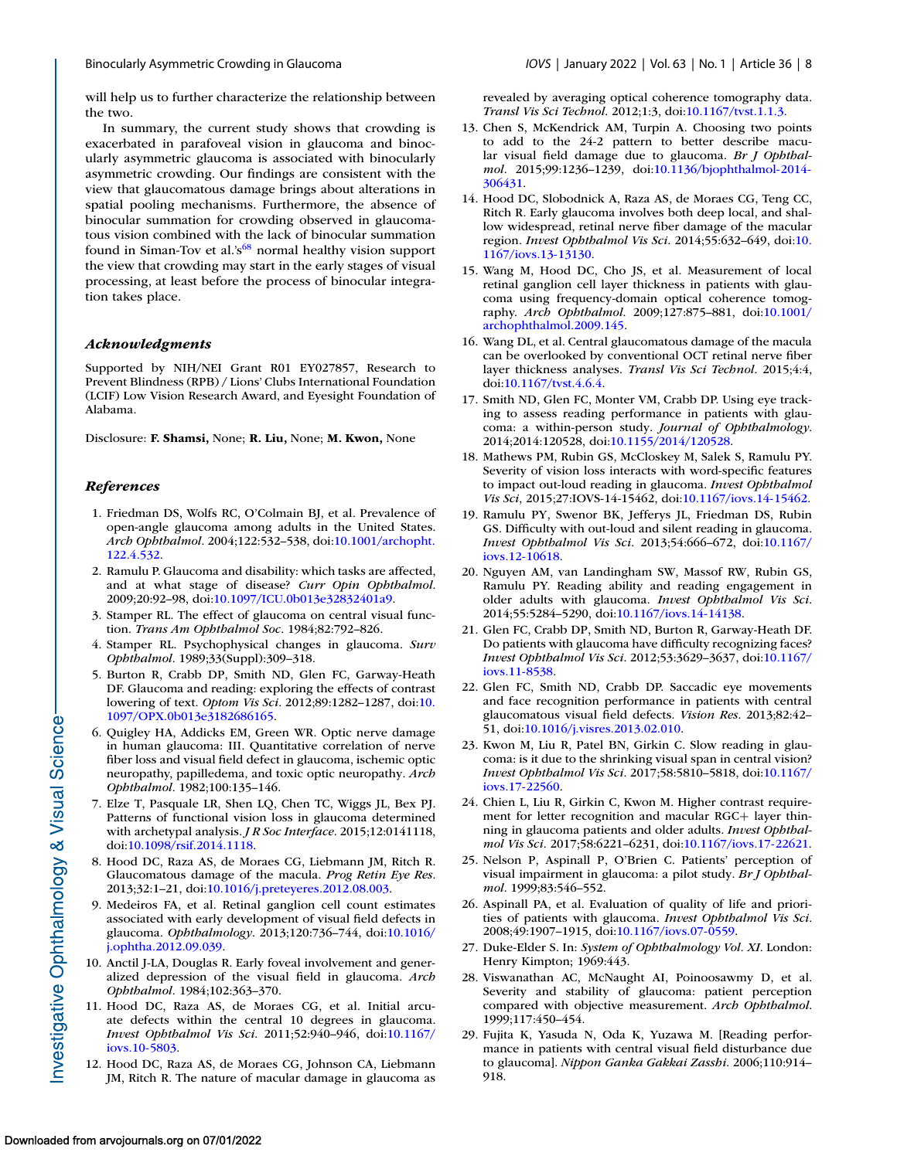<span id="page-7-0"></span>

will help us to further characterize the relationship between the two.

In summary, the current study shows that crowding is exacerbated in parafoveal vision in glaucoma and binocularly asymmetric glaucoma is associated with binocularly asymmetric crowding. Our findings are consistent with the view that glaucomatous damage brings about alterations in spatial pooling mechanisms. Furthermore, the absence of binocular summation for crowding observed in glaucomatous vision combined with the lack of binocular summation found in Siman-Tov et al.' $s^{68}$  normal healthy vision support the view that crowding may start in the early stages of visual processing, at least before the process of binocular integration takes place.

#### *Acknowledgments*

Supported by NIH/NEI Grant R01 EY027857, Research to Prevent Blindness (RPB) / Lions' Clubs International Foundation (LCIF) Low Vision Research Award, and Eyesight Foundation of Alabama.

Disclosure: **F. Shamsi,** None; **R. Liu,** None; **M. Kwon,** None

#### *References*

- 1. Friedman DS, Wolfs RC, O'Colmain BJ, et al. Prevalence of open-angle glaucoma among adults in the United States. *Arch Ophthalmol*[. 2004;122:532–538, doi:10.1001/archopht.](http://doi.org/10.1001/archopht.122.4.532) 122.4.532.
- 2. Ramulu P. Glaucoma and disability: which tasks are affected, and at what stage of disease? *Curr Opin Ophthalmol*. 2009;20:92–98, doi[:10.1097/ICU.0b013e32832401a9.](http://doi.org/10.1097/ICU.0b013e32832401a9)
- 3. Stamper RL. The effect of glaucoma on central visual function. *Trans Am Ophthalmol Soc*. 1984;82:792–826.
- 4. Stamper RL. Psychophysical changes in glaucoma. *Surv Ophthalmol*. 1989;33(Suppl):309–318.
- 5. Burton R, Crabb DP, Smith ND, Glen FC, Garway-Heath DF. Glaucoma and reading: exploring the effects of contrast lowering of text. *Optom Vis Sci*. 2012;89:1282–1287, doi:10. [1097/OPX.0b013e3182686165.](http://doi.org/10.1097/OPX.0b013e3182686165)
- 6. Quigley HA, Addicks EM, Green WR. Optic nerve damage in human glaucoma: III. Quantitative correlation of nerve fiber loss and visual field defect in glaucoma, ischemic optic neuropathy, papilledema, and toxic optic neuropathy. *Arch Ophthalmol*. 1982;100:135–146.
- 7. Elze T, Pasquale LR, Shen LQ, Chen TC, Wiggs JL, Bex PJ. Patterns of functional vision loss in glaucoma determined with archetypal analysis. *J R Soc Interface*. 2015;12:0141118, doi[:10.1098/rsif.2014.1118.](http://doi.org/10.1098/rsif.2014.1118)
- 8. Hood DC, Raza AS, de Moraes CG, Liebmann JM, Ritch R. Glaucomatous damage of the macula. *Prog Retin Eye Res*. 2013;32:1–21, doi[:10.1016/j.preteyeres.2012.08.003.](http://doi.org/10.1016/j.preteyeres.2012.08.003)
- 9. Medeiros FA, et al. Retinal ganglion cell count estimates associated with early development of visual field defects in glaucoma. *Ophthalmology*[. 2013;120:736–744, doi:10.1016/](http://doi.org/10.1016/j.ophtha.2012.09.039) j.ophtha.2012.09.039.
- 10. Anctil J-LA, Douglas R. Early foveal involvement and generalized depression of the visual field in glaucoma. *Arch Ophthalmol.* 1984;102:363–370.
- 11. Hood DC, Raza AS, de Moraes CG, et al. Initial arcuate defects within the central 10 degrees in glaucoma. *Invest Ophthalmol Vis Sci*[. 2011;52:940–946, doi:10.1167/](http://doi.org/10.1167/iovs.10-5803) iovs.10-5803.
- 12. Hood DC, Raza AS, de Moraes CG, Johnson CA, Liebmann JM, Ritch R. The nature of macular damage in glaucoma as

revealed by averaging optical coherence tomography data. *Transl Vis Sci Technol*. 2012;1:3, doi[:10.1167/tvst.1.1.3.](http://doi.org/10.1167/tvst.1.1.3)

- 13. Chen S, McKendrick AM, Turpin A. Choosing two points to add to the 24-2 pattern to better describe macular visual field damage due to glaucoma. *Br J Ophthalmol*[. 2015;99:1236–1239, doi:10.1136/bjophthalmol-2014-](http://doi.org/10.1136/bjophthalmol-2014-306431) 306431.
- 14. Hood DC, Slobodnick A, Raza AS, de Moraes CG, Teng CC, Ritch R. Early glaucoma involves both deep local, and shallow widespread, retinal nerve fiber damage of the macular region. *Invest Ophthalmol Vis Sci*[. 2014;55:632–649, doi:10.](http://doi.org/10.1167/iovs.13-13130) 1167/iovs.13-13130.
- 15. Wang M, Hood DC, Cho JS, et al. Measurement of local retinal ganglion cell layer thickness in patients with glaucoma using frequency-domain optical coherence tomography. *Arch Ophthalmol*[. 2009;127:875–881, doi:10.1001/](http://doi.org/10.1001/archophthalmol.2009.145) archophthalmol.2009.145.
- 16. Wang DL, et al. Central glaucomatous damage of the macula can be overlooked by conventional OCT retinal nerve fiber layer thickness analyses. *Transl Vis Sci Technol*. 2015;4:4, doi[:10.1167/tvst.4.6.4.](http://doi.org/10.1167/tvst.4.6.4)
- 17. Smith ND, Glen FC, Monter VM, Crabb DP. Using eye tracking to assess reading performance in patients with glaucoma: a within-person study. *Journal of Ophthalmology*. 2014;2014:120528, doi[:10.1155/2014/120528.](http://doi.org/10.1155/2014/120528)
- 18. Mathews PM, Rubin GS, McCloskey M, Salek S, Ramulu PY. Severity of vision loss interacts with word-specific features to impact out-loud reading in glaucoma. *Invest Ophthalmol Vis Sci*, 2015;27:IOVS-14-15462, doi[:10.1167/iovs.14-15462.](http://doi.org/10.1167/iovs.14-15462)
- 19. Ramulu PY, Swenor BK, Jefferys JL, Friedman DS, Rubin GS. Difficulty with out-loud and silent reading in glaucoma. *Invest Ophthalmol Vis Sci*[. 2013;54:666–672, doi:10.1167/](http://doi.org/10.1167/iovs.12-10618) iovs.12-10618.
- 20. Nguyen AM, van Landingham SW, Massof RW, Rubin GS, Ramulu PY. Reading ability and reading engagement in older adults with glaucoma. *Invest Ophthalmol Vis Sci*. 2014;55:5284–5290, doi[:10.1167/iovs.14-14138.](http://doi.org/10.1167/iovs.14-14138)
- 21. Glen FC, Crabb DP, Smith ND, Burton R, Garway-Heath DF. Do patients with glaucoma have difficulty recognizing faces? *Invest Ophthalmol Vis Sci*[. 2012;53:3629–3637, doi:10.1167/](http://doi.org/10.1167/iovs.11-8538) iovs.11-8538.
- 22. Glen FC, Smith ND, Crabb DP. Saccadic eye movements and face recognition performance in patients with central glaucomatous visual field defects. *Vision Res*. 2013;82:42– 51, doi[:10.1016/j.visres.2013.02.010.](http://doi.org/10.1016/j.visres.2013.02.010)
- 23. Kwon M, Liu R, Patel BN, Girkin C. Slow reading in glaucoma: is it due to the shrinking visual span in central vision? *Invest Ophthalmol Vis Sci*[. 2017;58:5810–5818, doi:10.1167/](http://doi.org/10.1167/iovs.17-22560) iovs.17-22560.
- 24. Chien L, Liu R, Girkin C, Kwon M. Higher contrast requirement for letter recognition and macular RGC+ layer thinning in glaucoma patients and older adults. *Invest Ophthalmol Vis Sci*. 2017;58:6221–6231, doi[:10.1167/iovs.17-22621.](http://doi.org/10.1167/iovs.17-22621)
- 25. Nelson P, Aspinall P, O'Brien C. Patients' perception of visual impairment in glaucoma: a pilot study. *Br J Ophthalmol*. 1999;83:546–552.
- 26. Aspinall PA, et al. Evaluation of quality of life and priorities of patients with glaucoma. *Invest Ophthalmol Vis Sci*. 2008;49:1907–1915, doi[:10.1167/iovs.07-0559.](http://doi.org/10.1167/iovs.07-0559)
- 27. Duke-Elder S. In: *System of Ophthalmology Vol. XI*. London: Henry Kimpton; 1969:443.
- 28. Viswanathan AC, McNaught AI, Poinoosawmy D, et al. Severity and stability of glaucoma: patient perception compared with objective measurement. *Arch Ophthalmol*. 1999;117:450–454.
- 29. Fujita K, Yasuda N, Oda K, Yuzawa M. [Reading performance in patients with central visual field disturbance due to glaucoma]. *Nippon Ganka Gakkai Zasshi*. 2006;110:914– 918.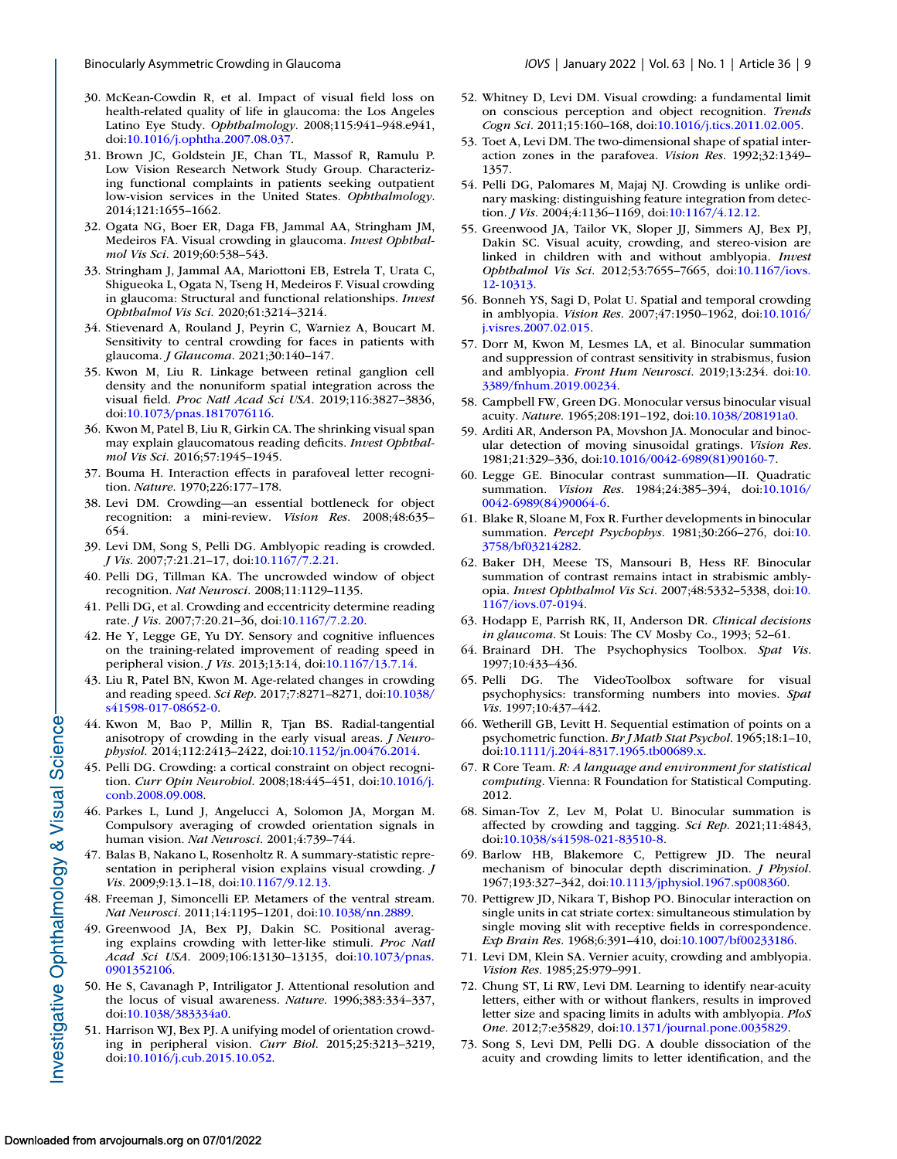- <span id="page-8-0"></span>30. McKean-Cowdin R, et al. Impact of visual field loss on health-related quality of life in glaucoma: the Los Angeles Latino Eye Study. *Ophthalmology*. 2008;115:941–948.e941, doi[:10.1016/j.ophtha.2007.08.037.](http://doi.org/10.1016/j.ophtha.2007.08.037)
- 31. Brown JC, Goldstein JE, Chan TL, Massof R, Ramulu P. Low Vision Research Network Study Group. Characterizing functional complaints in patients seeking outpatient low-vision services in the United States. *Ophthalmology*. 2014;121:1655–1662.
- 32. Ogata NG, Boer ER, Daga FB, Jammal AA, Stringham JM, Medeiros FA. Visual crowding in glaucoma. *Invest Ophthalmol Vis Sci*. 2019;60:538–543.
- 33. Stringham J, Jammal AA, Mariottoni EB, Estrela T, Urata C, Shigueoka L, Ogata N, Tseng H, Medeiros F. Visual crowding in glaucoma: Structural and functional relationships. *Invest Ophthalmol Vis Sci.* 2020;61:3214–3214.
- 34. Stievenard A, Rouland J, Peyrin C, Warniez A, Boucart M. Sensitivity to central crowding for faces in patients with glaucoma. *J Glaucoma*. 2021;30:140–147.
- 35. Kwon M, Liu R. Linkage between retinal ganglion cell density and the nonuniform spatial integration across the visual field. *Proc Natl Acad Sci USA*. 2019;116:3827–3836, doi[:10.1073/pnas.1817076116.](http://doi.org/10.1073/pnas.1817076116)
- 36. Kwon M, Patel B, Liu R, Girkin CA. The shrinking visual span may explain glaucomatous reading deficits. *Invest Ophthalmol Vis Sci.* 2016;57:1945–1945.
- 37. Bouma H. Interaction effects in parafoveal letter recognition. *Nature*. 1970;226:177–178.
- 38. Levi DM. Crowding—an essential bottleneck for object recognition: a mini-review. *Vision Res*. 2008;48:635– 654.
- 39. Levi DM, Song S, Pelli DG. Amblyopic reading is crowded. *J Vis*. 2007;7:21.21–17, doi[:10.1167/7.2.21.](http://doi.org/10.1167/7.2.21)
- 40. Pelli DG, Tillman KA. The uncrowded window of object recognition. *Nat Neurosci*. 2008;11:1129–1135.
- 41. Pelli DG, et al. Crowding and eccentricity determine reading rate. *J Vis*. 2007;7:20.21–36, doi[:10.1167/7.2.20.](http://doi.org/10.1167/7.2.20)
- 42. He Y, Legge GE, Yu DY. Sensory and cognitive influences on the training-related improvement of reading speed in peripheral vision. *J Vis*. 2013;13:14, doi[:10.1167/13.7.14.](http://doi.org/10.1167/13.7.14)
- 43. Liu R, Patel BN, Kwon M. Age-related changes in crowding and reading speed. *Sci Rep*[. 2017;7:8271–8271, doi:10.1038/](http://doi.org/10.1038/s41598-017-08652-0) s41598-017-08652-0.
- 44. Kwon M, Bao P, Millin R, Tjan BS. Radial-tangential anisotropy of crowding in the early visual areas. *J Neurophysiol.* 2014;112:2413–2422, doi[:10.1152/jn.00476.2014.](https://doi.org/10.1152/jn.00476.2014)
- 45. Pelli DG. Crowding: a cortical constraint on object recognition. *Curr Opin Neurobiol*[. 2008;18:445–451, doi:10.1016/j.](http://doi.org/10.1016/j.conb.2008.09.008) conb.2008.09.008.
- 46. Parkes L, Lund J, Angelucci A, Solomon JA, Morgan M. Compulsory averaging of crowded orientation signals in human vision. *Nat Neurosci*. 2001;4:739–744.
- 47. Balas B, Nakano L, Rosenholtz R. A summary-statistic representation in peripheral vision explains visual crowding. *J Vis*. 2009;9:13.1–18, doi[:10.1167/9.12.13.](http://doi.org/10.1167/9.12.13)
- Freeman J, Simoncelli EP. Metamers of the ventral stream. *Nat Neurosci*. 2011;14:1195–1201, doi[:10.1038/nn.2889.](http://doi.org/10.1038/nn.2889)
- 49. Greenwood JA, Bex PJ, Dakin SC. Positional averaging explains crowding with letter-like stimuli. *Proc Natl Acad Sci USA*[. 2009;106:13130–13135, doi:10.1073/pnas.](http://doi.org/10.1073/pnas.0901352106) 0901352106.
- 50. He S, Cavanagh P, Intriligator J. Attentional resolution and the locus of visual awareness. *Nature*. 1996;383:334–337, doi[:10.1038/383334a0.](http://doi.org/10.1038/383334a0)
- 51. Harrison WJ, Bex PJ. A unifying model of orientation crowding in peripheral vision. *Curr Biol*. 2015;25:3213–3219, doi[:10.1016/j.cub.2015.10.052.](http://doi.org/10.1016/j.cub.2015.10.052)
- 52. Whitney D, Levi DM. Visual crowding: a fundamental limit on conscious perception and object recognition. *Trends Cogn Sci*. 2011;15:160–168, doi[:10.1016/j.tics.2011.02.005.](http://doi.org/10.1016/j.tics.2011.02.005)
- 53. Toet A, Levi DM. The two-dimensional shape of spatial interaction zones in the parafovea. *Vision Res*. 1992;32:1349– 1357.
- 54. Pelli DG, Palomares M, Majaj NJ. Crowding is unlike ordinary masking: distinguishing feature integration from detection. *J Vis*. 2004;4:1136–1169, doi[:10:1167/4.12.12.](http://doi.org/10:1167/4.12.12)
- 55. Greenwood JA, Tailor VK, Sloper JJ, Simmers AJ, Bex PJ, Dakin SC. Visual acuity, crowding, and stereo-vision are linked in children with and without amblyopia. *Invest Ophthalmol Vis Sci*[. 2012;53:7655–7665, doi:10.1167/iovs.](http://doi.org/10.1167/iovs.12-10313) 12-10313.
- 56. Bonneh YS, Sagi D, Polat U. Spatial and temporal crowding in amblyopia. *Vision Res*[. 2007;47:1950–1962, doi:10.1016/](http://doi.org/10.1016/j.visres.2007.02.015) j.visres.2007.02.015.
- 57. Dorr M, Kwon M, Lesmes LA, et al. Binocular summation and suppression of contrast sensitivity in strabismus, fusion and amblyopia. *Front Hum Neurosci*. 2019;13:234. doi:10. [3389/fnhum.2019.00234.](http://doi.org/10.3389/fnhum.2019.00234)
- 58. Campbell FW, Green DG. Monocular versus binocular visual acuity. *Nature*. 1965;208:191–192, doi[:10.1038/208191a0.](http://doi.org/10.1038/208191a0)
- 59. Arditi AR, Anderson PA, Movshon JA. Monocular and binocular detection of moving sinusoidal gratings. *Vision Res*. 1981;21:329–336, doi[:10.1016/0042-6989\(81\)90160-7.](http://doi.org/10.1016/0042-6989(81)90160-7)
- 60. Legge GE. Binocular contrast summation—II. Quadratic summation. *Vision Res*[. 1984;24:385–394, doi:10.1016/](http://doi.org/10.1016/0042-6989(84)90064-6) 0042-6989(84)90064-6.
- 61. Blake R, Sloane M, Fox R. Further developments in binocular summation. *Percept Psychophys*[. 1981;30:266–276, doi:10.](http://doi.org/10.3758/bf03214282) 3758/bf03214282.
- 62. Baker DH, Meese TS, Mansouri B, Hess RF. Binocular summation of contrast remains intact in strabismic amblyopia. *Invest Ophthalmol Vis Sci*[. 2007;48:5332–5338, doi:10.](http://doi.org/10.1167/iovs.07-0194) 1167/iovs.07-0194.
- 63. Hodapp E, Parrish RK, II, Anderson DR. *Clinical decisions in glaucoma*. St Louis: The CV Mosby Co., 1993; 52–61.
- 64. Brainard DH. The Psychophysics Toolbox. *Spat Vis*. 1997;10:433–436.
- 65. Pelli DG. The VideoToolbox software for visual psychophysics: transforming numbers into movies. *Spat Vis*. 1997;10:437–442.
- 66. Wetherill GB, Levitt H. Sequential estimation of points on a psychometric function. *Br J Math Stat Psychol*. 1965;18:1–10, doi[:10.1111/j.2044-8317.1965.tb00689.x.](http://doi.org/10.1111/j.2044-8317.1965.tb00689.x)
- 67. R Core Team. *R: A language and environment for statistical computing*. Vienna: R Foundation for Statistical Computing. 2012.
- 68. Siman-Tov Z, Lev M, Polat U. Binocular summation is affected by crowding and tagging. *Sci Rep*. 2021;11:4843, doi[:10.1038/s41598-021-83510-8.](http://doi.org/10.1038/s41598-021-83510-8)
- 69. Barlow HB, Blakemore C, Pettigrew JD. The neural mechanism of binocular depth discrimination. *J Physiol*. 1967;193:327–342, doi[:10.1113/jphysiol.1967.sp008360.](http://doi.org/10.1113/jphysiol.1967.sp008360)
- 70. Pettigrew JD, Nikara T, Bishop PO. Binocular interaction on single units in cat striate cortex: simultaneous stimulation by single moving slit with receptive fields in correspondence. *Exp Brain Res*. 1968;6:391–410, doi[:10.1007/bf00233186.](http://doi.org/10.1007/bf00233186)
- 71. Levi DM, Klein SA. Vernier acuity, crowding and amblyopia. *Vision Res*. 1985;25:979–991.
- 72. Chung ST, Li RW, Levi DM. Learning to identify near-acuity letters, either with or without flankers, results in improved letter size and spacing limits in adults with amblyopia. *PloS One*. 2012;7:e35829, doi[:10.1371/journal.pone.0035829.](http://doi.org/10.1371/journal.pone.0035829)
- 73. Song S, Levi DM, Pelli DG. A double dissociation of the acuity and crowding limits to letter identification, and the